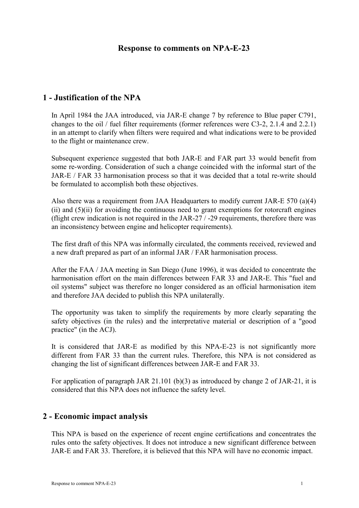# **Response to comments on NPA-E-23**

# **1 - Justification of the NPA**

In April 1984 the JAA introduced, via JAR-E change 7 by reference to Blue paper C791, changes to the oil / fuel filter requirements (former references were C3-2, 2.1.4 and 2.2.1) in an attempt to clarify when filters were required and what indications were to be provided to the flight or maintenance crew.

Subsequent experience suggested that both JAR-E and FAR part 33 would benefit from some re-wording. Consideration of such a change coincided with the informal start of the JAR-E / FAR 33 harmonisation process so that it was decided that a total re-write should be formulated to accomplish both these objectives.

Also there was a requirement from JAA Headquarters to modify current JAR-E 570 (a)(4)  $(ii)$  and  $(5)(ii)$  for avoiding the continuous need to grant exemptions for rotorcraft engines (flight crew indication is not required in the JAR-27 / -29 requirements, therefore there was an inconsistency between engine and helicopter requirements).

The first draft of this NPA was informally circulated, the comments received, reviewed and a new draft prepared as part of an informal JAR / FAR harmonisation process.

After the FAA / JAA meeting in San Diego (June 1996), it was decided to concentrate the harmonisation effort on the main differences between FAR 33 and JAR-E. This "fuel and oil systems" subject was therefore no longer considered as an official harmonisation item and therefore JAA decided to publish this NPA unilaterally.

The opportunity was taken to simplify the requirements by more clearly separating the safety objectives (in the rules) and the interpretative material or description of a "good practice" (in the ACJ).

It is considered that JAR-E as modified by this NPA-E-23 is not significantly more different from FAR 33 than the current rules. Therefore, this NPA is not considered as changing the list of significant differences between JAR-E and FAR 33.

For application of paragraph JAR 21.101 (b)(3) as introduced by change 2 of JAR-21, it is considered that this NPA does not influence the safety level.

# **2 - Economic impact analysis**

This NPA is based on the experience of recent engine certifications and concentrates the rules onto the safety objectives. It does not introduce a new significant difference between JAR-E and FAR 33. Therefore, it is believed that this NPA will have no economic impact.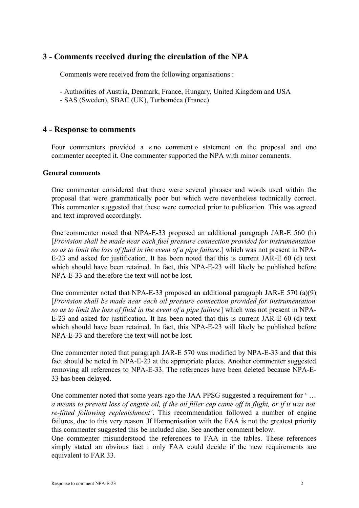# **3 - Comments received during the circulation of the NPA**

Comments were received from the following organisations :

- Authorities of Austria, Denmark, France, Hungary, United Kingdom and USA
- SAS (Sweden), SBAC (UK), Turboméca (France)

# **4 - Response to comments**

Four commenters provided a « no comment » statement on the proposal and one commenter accepted it. One commenter supported the NPA with minor comments.

## **General comments**

One commenter considered that there were several phrases and words used within the proposal that were grammatically poor but which were nevertheless technically correct. This commenter suggested that these were corrected prior to publication. This was agreed and text improved accordingly.

One commenter noted that NPA-E-33 proposed an additional paragraph JAR-E 560 (h) [*Provision shall be made near each fuel pressure connection provided for instrumentation so as to limit the loss of fluid in the event of a pipe failure*.] which was not present in NPA-E-23 and asked for justification. It has been noted that this is current JAR-E 60 (d) text which should have been retained. In fact, this NPA-E-23 will likely be published before NPA-E-33 and therefore the text will not be lost.

One commenter noted that NPA-E-33 proposed an additional paragraph JAR-E 570 (a)(9) [*Provision shall be made near each oil pressure connection provided for instrumentation so as to limit the loss of fluid in the event of a pipe failure*] which was not present in NPA-E-23 and asked for justification. It has been noted that this is current JAR-E 60 (d) text which should have been retained. In fact, this NPA-E-23 will likely be published before NPA-E-33 and therefore the text will not be lost.

One commenter noted that paragraph JAR-E 570 was modified by NPA-E-33 and that this fact should be noted in NPA-E-23 at the appropriate places. Another commenter suggested removing all references to NPA-E-33. The references have been deleted because NPA-E-33 has been delayed.

One commenter noted that some years ago the JAA PPSG suggested a requirement for ' … *a means to prevent loss of engine oil, if the oil filler cap came off in flight, or if it was not re-fitted following replenishment'*. This recommendation followed a number of engine failures, due to this very reason. If Harmonisation with the FAA is not the greatest priority this commenter suggested this be included also. See another comment below.

One commenter misunderstood the references to FAA in the tables. These references simply stated an obvious fact : only FAA could decide if the new requirements are equivalent to FAR 33.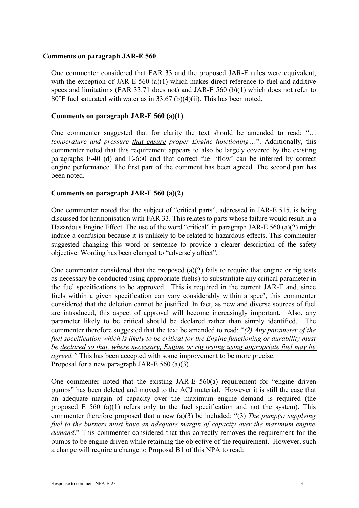## **Comments on paragraph JAR-E 560**

One commenter considered that FAR 33 and the proposed JAR-E rules were equivalent, with the exception of JAR-E 560 (a)(1) which makes direct reference to fuel and additive specs and limitations (FAR 33.71 does not) and JAR-E 560 (b)(1) which does not refer to 80°F fuel saturated with water as in 33.67 (b)(4)(ii). This has been noted.

#### **Comments on paragraph JAR-E 560 (a)(1)**

One commenter suggested that for clarity the text should be amended to read: "… *temperature and pressure that ensure proper Engine functioning*…". Additionally, this commenter noted that this requirement appears to also be largely covered by the existing paragraphs E-40 (d) and E-660 and that correct fuel 'flow' can be inferred by correct engine performance. The first part of the comment has been agreed. The second part has been noted.

#### **Comments on paragraph JAR-E 560 (a)(2)**

One commenter noted that the subject of "critical parts", addressed in JAR-E 515, is being discussed for harmonisation with FAR 33. This relates to parts whose failure would result in a Hazardous Engine Effect. The use of the word "critical" in paragraph JAR-E 560 (a)(2) might induce a confusion because it is unlikely to be related to hazardous effects. This commenter suggested changing this word or sentence to provide a clearer description of the safety objective. Wording has been changed to "adversely affect".

One commenter considered that the proposed  $(a)(2)$  fails to require that engine or rig tests as necessary be conducted using appropriate fuel(s) to substantiate any critical parameter in the fuel specifications to be approved. This is required in the current JAR-E and, since fuels within a given specification can vary considerably within a spec', this commenter considered that the deletion cannot be justified. In fact, as new and diverse sources of fuel are introduced, this aspect of approval will become increasingly important. Also, any parameter likely to be critical should be declared rather than simply identified. The commenter therefore suggested that the text be amended to read: "*(2) Any parameter of the fuel specification which is likely to be critical for the Engine functioning or durability must be declared so that, where necessary, Engine or rig testing using appropriate fuel may be agreed."* This has been accepted with some improvement to be more precise. Proposal for a new paragraph JAR-E 560 (a)(3)

One commenter noted that the existing JAR-E 560(a) requirement for "engine driven pumps" has been deleted and moved to the ACJ material. However it is still the case that an adequate margin of capacity over the maximum engine demand is required (the proposed E 560 (a)(1) refers only to the fuel specification and not the system). This commenter therefore proposed that a new (a)(3) be included: "(3) *The pump(s) supplying fuel to the burners must have an adequate margin of capacity over the maximum engine demand.*" This commenter considered that this correctly removes the requirement for the pumps to be engine driven while retaining the objective of the requirement. However, such a change will require a change to Proposal B1 of this NPA to read: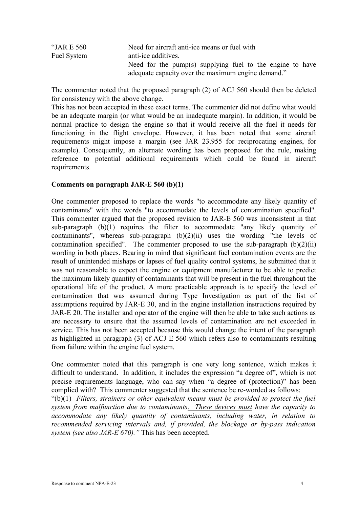| "JAR E 560         | Need for aircraft anti-ice means or fuel with             |
|--------------------|-----------------------------------------------------------|
| <b>Fuel System</b> | anti-ice additives.                                       |
|                    | Need for the pump(s) supplying fuel to the engine to have |
|                    | adequate capacity over the maximum engine demand."        |

The commenter noted that the proposed paragraph (2) of ACJ 560 should then be deleted for consistency with the above change.

This has not been accepted in these exact terms. The commenter did not define what would be an adequate margin (or what would be an inadequate margin). In addition, it would be normal practice to design the engine so that it would receive all the fuel it needs for functioning in the flight envelope. However, it has been noted that some aircraft requirements might impose a margin (see JAR 23.955 for reciprocating engines, for example). Consequently, an alternate wording has been proposed for the rule, making reference to potential additional requirements which could be found in aircraft requirements.

# **Comments on paragraph JAR-E 560 (b)(1)**

One commenter proposed to replace the words "to accommodate any likely quantity of contaminants" with the words "to accommodate the levels of contamination specified". This commenter argued that the proposed revision to JAR-E 560 was inconsistent in that sub-paragraph  $(b)(1)$  requires the filter to accommodate "any likely quantity of contaminants", whereas sub-paragraph  $(b)(2)(ii)$  uses the wording "the levels of contamination specified". The commenter proposed to use the sub-paragraph  $(b)(2)(ii)$ wording in both places. Bearing in mind that significant fuel contamination events are the result of unintended mishaps or lapses of fuel quality control systems, he submitted that it was not reasonable to expect the engine or equipment manufacturer to be able to predict the maximum likely quantity of contaminants that will be present in the fuel throughout the operational life of the product. A more practicable approach is to specify the level of contamination that was assumed during Type Investigation as part of the list of assumptions required by JAR-E 30, and in the engine installation instructions required by JAR-E 20. The installer and operator of the engine will then be able to take such actions as are necessary to ensure that the assumed levels of contamination are not exceeded in service. This has not been accepted because this would change the intent of the paragraph as highlighted in paragraph (3) of ACJ E 560 which refers also to contaminants resulting from failure within the engine fuel system.

One commenter noted that this paragraph is one very long sentence, which makes it difficult to understand. In addition, it includes the expression "a degree of", which is not precise requirements language, who can say when "a degree of (protection)" has been complied with? This commenter suggested that the sentence be re-worded as follows:

"(b)(1) *Filters, strainers or other equivalent means must be provided to protect the fuel system from malfunction due to contaminants. These devices must have the capacity to accommodate any likely quantity of contaminants, including water, in relation to recommended servicing intervals and, if provided, the blockage or by-pass indication system (see also JAR-E 670)."* This has been accepted.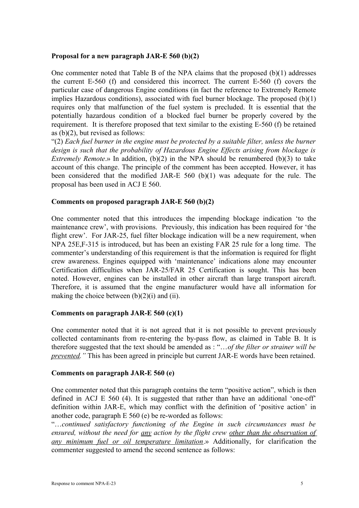## **Proposal for a new paragraph JAR-E 560 (b)(2)**

One commenter noted that Table B of the NPA claims that the proposed (b)(1) addresses the current E-560 (f) and considered this incorrect. The current E-560 (f) covers the particular case of dangerous Engine conditions (in fact the reference to Extremely Remote implies Hazardous conditions), associated with fuel burner blockage. The proposed (b)(1) requires only that malfunction of the fuel system is precluded. It is essential that the potentially hazardous condition of a blocked fuel burner be properly covered by the requirement. It is therefore proposed that text similar to the existing E-560 (f) be retained as (b)(2), but revised as follows:

"(2) *Each fuel burner in the engine must be protected by a suitable filter, unless the burner design is such that the probability of Hazardous Engine Effects arising from blockage is Extremely Remote.*» In addition, (b)(2) in the NPA should be renumbered (b)(3) to take account of this change. The principle of the comment has been accepted. However, it has been considered that the modified JAR-E 560 (b)(1) was adequate for the rule. The proposal has been used in ACJ E 560.

#### **Comments on proposed paragraph JAR-E 560 (b)(2)**

One commenter noted that this introduces the impending blockage indication 'to the maintenance crew', with provisions. Previously, this indication has been required for 'the flight crew'. For JAR-25, fuel filter blockage indication will be a new requirement, when NPA 25E,F-315 is introduced, but has been an existing FAR 25 rule for a long time. The commenter's understanding of this requirement is that the information is required for flight crew awareness. Engines equipped with 'maintenance' indications alone may encounter Certification difficulties when JAR-25/FAR 25 Certification is sought. This has been noted. However, engines can be installed in other aircraft than large transport aircraft. Therefore, it is assumed that the engine manufacturer would have all information for making the choice between  $(b)(2)(i)$  and  $(ii)$ .

#### **Comments on paragraph JAR-E 560 (c)(1)**

One commenter noted that it is not agreed that it is not possible to prevent previously collected contaminants from re-entering the by-pass flow, as claimed in Table B. It is therefore suggested that the text should be amended as : "…*of the filter or strainer will be prevented."* This has been agreed in principle but current JAR-E words have been retained.

#### **Comments on paragraph JAR-E 560 (e)**

One commenter noted that this paragraph contains the term "positive action", which is then defined in ACJ E 560 (4). It is suggested that rather than have an additional 'one-off' definition within JAR-E, which may conflict with the definition of 'positive action' in another code, paragraph E 560 (e) be re-worded as follows:

"…*continued satisfactory functioning of the Engine in such circumstances must be ensured, without the need for any action by the flight crew other than the observation of any minimum fuel or oil temperature limitation*.» Additionally, for clarification the commenter suggested to amend the second sentence as follows: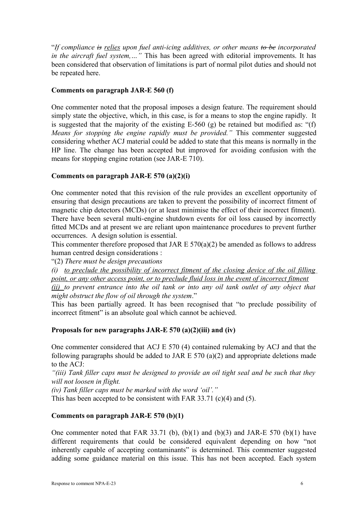"*If compliance is relies upon fuel anti-icing additives, or other means to be incorporated in the aircraft fuel system,…"* This has been agreed with editorial improvements. It has been considered that observation of limitations is part of normal pilot duties and should not be repeated here.

# **Comments on paragraph JAR-E 560 (f)**

One commenter noted that the proposal imposes a design feature. The requirement should simply state the objective, which, in this case, is for a means to stop the engine rapidly. It is suggested that the majority of the existing  $E-560$  (g) be retained but modified as: "(f) *Means for stopping the engine rapidly must be provided."* This commenter suggested considering whether ACJ material could be added to state that this means is normally in the HP line. The change has been accepted but improved for avoiding confusion with the means for stopping engine rotation (see JAR-E 710).

# **Comments on paragraph JAR-E 570 (a)(2)(i)**

One commenter noted that this revision of the rule provides an excellent opportunity of ensuring that design precautions are taken to prevent the possibility of incorrect fitment of magnetic chip detectors (MCDs) (or at least minimise the effect of their incorrect fitment). There have been several multi-engine shutdown events for oil loss caused by incorrectly fitted MCDs and at present we are reliant upon maintenance procedures to prevent further occurrences. A design solution is essential.

This commenter therefore proposed that JAR  $E 570(a)(2)$  be amended as follows to address human centred design considerations :

"(2) *There must be design precautions* 

*(i) to preclude the possibility of incorrect fitment of the closing device of the oil filling point, or any other access point, or to preclude fluid loss in the event of incorrect fitment (ii) to prevent entrance into the oil tank or into any oil tank outlet of any object that might obstruct the flow of oil through the system*."

This has been partially agreed. It has been recognised that "to preclude possibility of incorrect fitment" is an absolute goal which cannot be achieved.

# **Proposals for new paragraphs JAR-E 570 (a)(2)(iii) and (iv)**

One commenter considered that ACJ E 570 (4) contained rulemaking by ACJ and that the following paragraphs should be added to JAR  $E$  570 (a)(2) and appropriate deletions made to the ACJ:

*"(iii) Tank filler caps must be designed to provide an oil tight seal and be such that they will not loosen in flight.*

*(iv) Tank filler caps must be marked with the word 'oil'."*

This has been accepted to be consistent with FAR 33.71 (c)(4) and (5).

# **Comments on paragraph JAR-E 570 (b)(1)**

One commenter noted that FAR 33.71 (b), (b)(1) and (b)(3) and JAR-E 570 (b)(1) have different requirements that could be considered equivalent depending on how "not inherently capable of accepting contaminants" is determined. This commenter suggested adding some guidance material on this issue. This has not been accepted. Each system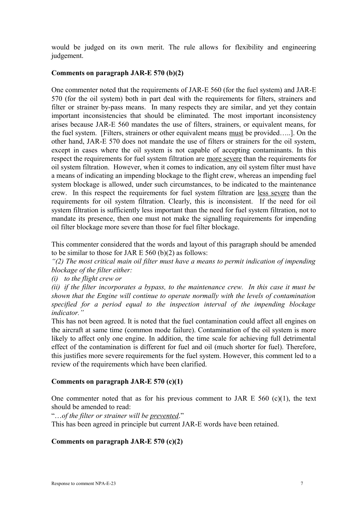would be judged on its own merit. The rule allows for flexibility and engineering judgement.

# **Comments on paragraph JAR-E 570 (b)(2)**

One commenter noted that the requirements of JAR-E 560 (for the fuel system) and JAR-E 570 (for the oil system) both in part deal with the requirements for filters, strainers and filter or strainer by-pass means. In many respects they are similar, and yet they contain important inconsistencies that should be eliminated. The most important inconsistency arises because JAR-E 560 mandates the use of filters, strainers, or equivalent means, for the fuel system. [Filters, strainers or other equivalent means must be provided…..]. On the other hand, JAR-E 570 does not mandate the use of filters or strainers for the oil system, except in cases where the oil system is not capable of accepting contaminants. In this respect the requirements for fuel system filtration are more severe than the requirements for oil system filtration. However, when it comes to indication, any oil system filter must have a means of indicating an impending blockage to the flight crew, whereas an impending fuel system blockage is allowed, under such circumstances, to be indicated to the maintenance crew. In this respect the requirements for fuel system filtration are less severe than the requirements for oil system filtration. Clearly, this is inconsistent. If the need for oil system filtration is sufficiently less important than the need for fuel system filtration, not to mandate its presence, then one must not make the signalling requirements for impending oil filter blockage more severe than those for fuel filter blockage.

This commenter considered that the words and layout of this paragraph should be amended to be similar to those for JAR  $E$  560 (b)(2) as follows:

*"(2) The most critical main oil filter must have a means to permit indication of impending blockage of the filter either:*

*(i) to the flight crew or*

*(ii) if the filter incorporates a bypass, to the maintenance crew. In this case it must be shown that the Engine will continue to operate normally with the levels of contamination specified for a period equal to the inspection interval of the impending blockage indicator."*

This has not been agreed. It is noted that the fuel contamination could affect all engines on the aircraft at same time (common mode failure). Contamination of the oil system is more likely to affect only one engine. In addition, the time scale for achieving full detrimental effect of the contamination is different for fuel and oil (much shorter for fuel). Therefore, this justifies more severe requirements for the fuel system. However, this comment led to a review of the requirements which have been clarified.

# **Comments on paragraph JAR-E 570 (c)(1)**

One commenter noted that as for his previous comment to JAR  $E$  560 (c)(1), the text should be amended to read:

"…*of the filter or strainer will be prevented*."

This has been agreed in principle but current JAR-E words have been retained.

# **Comments on paragraph JAR-E 570 (c)(2)**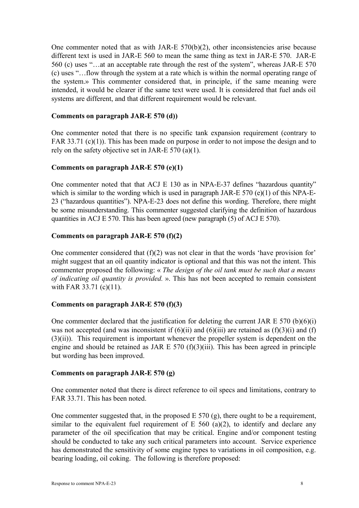One commenter noted that as with JAR-E 570(b)(2), other inconsistencies arise because different text is used in JAR-E 560 to mean the same thing as text in JAR-E 570. JAR-E 560 (c) uses "…at an acceptable rate through the rest of the system", whereas JAR-E 570 (c) uses "…flow through the system at a rate which is within the normal operating range of the system.» This commenter considered that, in principle, if the same meaning were intended, it would be clearer if the same text were used. It is considered that fuel ands oil systems are different, and that different requirement would be relevant.

## **Comments on paragraph JAR-E 570 (d))**

One commenter noted that there is no specific tank expansion requirement (contrary to FAR 33.71 (c)(1)). This has been made on purpose in order to not impose the design and to rely on the safety objective set in JAR-E 570 (a)(1).

# **Comments on paragraph JAR-E 570 (e)(1)**

One commenter noted that that ACJ E 130 as in NPA-E-37 defines "hazardous quantity" which is similar to the wording which is used in paragraph JAR-E 570 (e)(1) of this NPA-E-23 ("hazardous quantities"). NPA-E-23 does not define this wording. Therefore, there might be some misunderstanding. This commenter suggested clarifying the definition of hazardous quantities in ACJ E 570. This has been agreed (new paragraph (5) of ACJ E 570).

# **Comments on paragraph JAR-E 570 (f)(2)**

One commenter considered that  $(f)(2)$  was not clear in that the words 'have provision for' might suggest that an oil quantity indicator is optional and that this was not the intent. This commenter proposed the following: « *The design of the oil tank must be such that a means of indicating oil quantity is provided.* ». This has not been accepted to remain consistent with FAR 33.71 (c)(11).

# **Comments on paragraph JAR-E 570 (f)(3)**

One commenter declared that the justification for deleting the current JAR E 570 (b)(6)(i) was not accepted (and was inconsistent if  $(6)(ii)$  and  $(6)(iii)$  are retained as  $(f)(3)(i)$  and  $(f)$ (3)(ii)). This requirement is important whenever the propeller system is dependent on the engine and should be retained as JAR  $E$  570 (f)(3)(iii). This has been agreed in principle but wording has been improved.

## **Comments on paragraph JAR-E 570 (g)**

One commenter noted that there is direct reference to oil specs and limitations, contrary to FAR 33.71. This has been noted.

One commenter suggested that, in the proposed  $E$  570 (g), there ought to be a requirement, similar to the equivalent fuel requirement of  $E$  560 (a)(2), to identify and declare any parameter of the oil specification that may be critical. Engine and/or component testing should be conducted to take any such critical parameters into account. Service experience has demonstrated the sensitivity of some engine types to variations in oil composition, e.g. bearing loading, oil coking. The following is therefore proposed: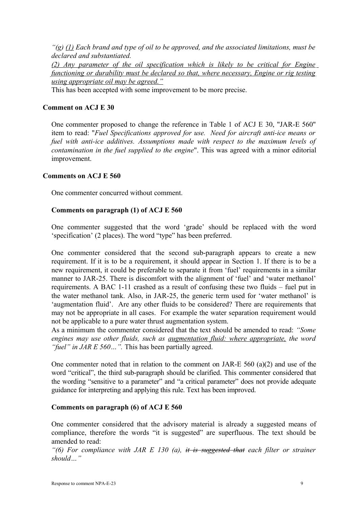*"(g) (1) Each brand and type of oil to be approved, and the associated limitations, must be declared and substantiated.*

*(2) Any parameter of the oil specification which is likely to be critical for Engine functioning or durability must be declared so that, where necessary, Engine or rig testing using appropriate oil may be agreed."*

This has been accepted with some improvement to be more precise.

## **Comment on ACJ E 30**

One commenter proposed to change the reference in Table 1 of ACJ E 30, "JAR-E 560" item to read: "*Fuel Specifications approved for use. Need for aircraft anti-ice means or fuel with anti-ice additives. Assumptions made with respect to the maximum levels of contamination in the fuel supplied to the engine*". This was agreed with a minor editorial improvement.

## **Comments on ACJ E 560**

One commenter concurred without comment.

## **Comments on paragraph (1) of ACJ E 560**

One commenter suggested that the word 'grade' should be replaced with the word 'specification' (2 places). The word "type" has been preferred.

One commenter considered that the second sub-paragraph appears to create a new requirement. If it is to be a requirement, it should appear in Section 1. If there is to be a new requirement, it could be preferable to separate it from 'fuel' requirements in a similar manner to JAR-25. There is discomfort with the alignment of 'fuel' and 'water methanol' requirements. A BAC 1-11 crashed as a result of confusing these two fluids – fuel put in the water methanol tank. Also, in JAR-25, the generic term used for 'water methanol' is 'augmentation fluid'. Are any other fluids to be considered? There are requirements that may not be appropriate in all cases. For example the water separation requirement would not be applicable to a pure water thrust augmentation system.

As a minimum the commenter considered that the text should be amended to read: *"Some engines may use other fluids, such as augmentation fluid: where appropriate, the word "fuel" in JAR E 560…".* This has been partially agreed.

One commenter noted that in relation to the comment on JAR-E 560 (a)(2) and use of the word "critical", the third sub-paragraph should be clarified. This commenter considered that the wording "sensitive to a parameter" and "a critical parameter" does not provide adequate guidance for interpreting and applying this rule. Text has been improved.

## **Comments on paragraph (6) of ACJ E 560**

One commenter considered that the advisory material is already a suggested means of compliance, therefore the words "it is suggested" are superfluous. The text should be amended to read:

*"(6) For compliance with JAR E 130 (a), it is suggested that each filter or strainer should…"*